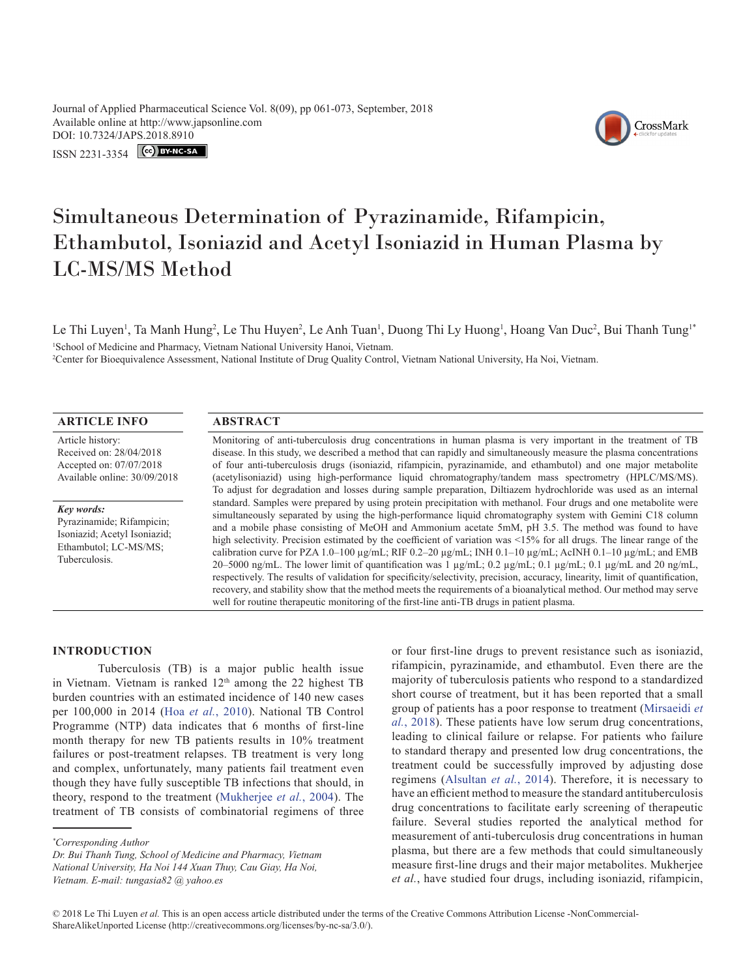Journal of Applied Pharmaceutical Science Vol. 8(09), pp 061-073, September, 2018 Available online at http://www.japsonline.com DOI: 10.7324/JA[PS.2018.8910](https://creativecommons.org/licenses/by-nc-sa/3.0/)

**ISSN 2231-3354** CC BY-NC-SA



# Simultaneous Determination of Pyrazinamide, Rifampicin, Ethambutol, Isoniazid and Acetyl Isoniazid in Human Plasma by LC-MS/MS Method

Le Thi Luyen<sup>1</sup>, Ta Manh Hung<sup>2</sup>, Le Thu Huyen<sup>2</sup>, Le Anh Tuan<sup>1</sup>, Duong Thi Ly Huong<sup>1</sup>, Hoang Van Duc<sup>2</sup>, Bui Thanh Tung<sup>1\*</sup> 1 School of Medicine and Pharmacy, Vietnam National University Hanoi, Vietnam.

2 Center for Bioequivalence Assessment, National Institute of Drug Quality Control, Vietnam National University, Ha Noi, Vietnam.

# **ARTICLE INFO ABSTRACT**

Article history: Received on: 28/04/2018 Accepted on: 07/07/2018 Available online: 30/09/2018

#### *Key words:*

Pyrazinamide; Rifampicin; Isoniazid; Acetyl Isoniazid; Ethambutol; LC-MS/MS; Tuberculosis.

Monitoring of anti-tuberculosis drug concentrations in human plasma is very important in the treatment of TB disease. In this study, we described a method that can rapidly and simultaneously measure the plasma concentrations of four anti-tuberculosis drugs (isoniazid, rifampicin, pyrazinamide, and ethambutol) and one major metabolite (acetylisoniazid) using high-performance liquid chromatography/tandem mass spectrometry (HPLC/MS/MS). To adjust for degradation and losses during sample preparation, Diltiazem hydrochloride was used as an internal standard. Samples were prepared by using protein precipitation with methanol. Four drugs and one metabolite were simultaneously separated by using the high-performance liquid chromatography system with Gemini C18 column and a mobile phase consisting of MeOH and Ammonium acetate 5mM, pH 3.5. The method was found to have high selectivity. Precision estimated by the coefficient of variation was <15% for all drugs. The linear range of the calibration curve for PZA 1.0–100 µg/mL; RIF 0.2–20 µg/mL; INH 0.1–10 µg/mL; AcINH 0.1–10 µg/mL; and EMB 20–5000 ng/mL. The lower limit of quantification was 1  $\mu$ g/mL; 0.2  $\mu$ g/mL; 0.1  $\mu$ g/mL; 0.1  $\mu$ g/mL and 20 ng/mL, respectively. The results of validation for specificity/selectivity, precision, accuracy, linearity, limit of quantification, recovery, and stability show that the method meets the requirements of a bioanalytical method. Our method may serve well for routine therapeutic monitoring of the first-line anti-TB drugs in patient plasma.

# **INTRODUCTION**

Tuberculosis (TB) is a major public health issue in Vietnam. Vietnam is ranked  $12<sup>th</sup>$  among the 22 highest TB burden countries with an estimated incidence of 140 new cases per 100,000 in 2014 (Hoa *et al.*[, 2010\)](#page-11-0). National TB Control Programme (NTP) data indicates that 6 months of first-line month therapy for new TB patients results in 10% treatment failures or post-treatment relapses. TB treatment is very long and complex, unfortunately, many patients fail treatment even though they have fully susceptible TB infections that should, in theory, respond to the treatment (Mukherjee *et al.*, 2004). The treatment of TB consists of combinatorial regimens of three

or four first-line drugs to prevent resistance such as isoniazid, rifampicin, pyrazinamide, and ethambutol. Even there are the majority of tuberculosis patients who respond to a standardized short course of treatment, but it has been reported that a small group of patients has a poor response to treatment ([Mirsaeidi](#page-11-1) *et al.*[, 2018\)](#page-11-1). These patients have low serum drug concentrations, leading to clinical failure or relapse. For patients who failure to standard therapy and presented low drug concentrations, the treatment could be successfully improved by adjusting dose regimens ([Alsultan](#page-11-2) *et al.*, 2014). Therefore, it is necessary to have an efficient method to measure the standard antituberculosis drug concentrations to facilitate early screening of therapeutic failure. Several studies reported the analytical method for measurement of anti-tuberculosis drug concentrations in human plasma, but there are a few methods that could simultaneously measure first-line drugs and their major metabolites. Mukherjee *et al.*, have studied four drugs, including isoniazid, rifampicin,

*<sup>\*</sup> Corresponding Author*

*Dr. Bui Thanh Tung, School of Medicine and Pharmacy, Vietnam National University, Ha Noi 144 Xuan Thuy, Cau Giay, Ha Noi, Vietnam. E-mail: tungasia82 @ yahoo.es*

<sup>© 2018</sup> Le Thi Luyen *et al.* This is an open access article distributed under the terms of the Creative Commons Attribution License -NonCommercial-ShareAlikeUnported License (http://creativecommons.org/licenses/by-nc-sa/3.0/).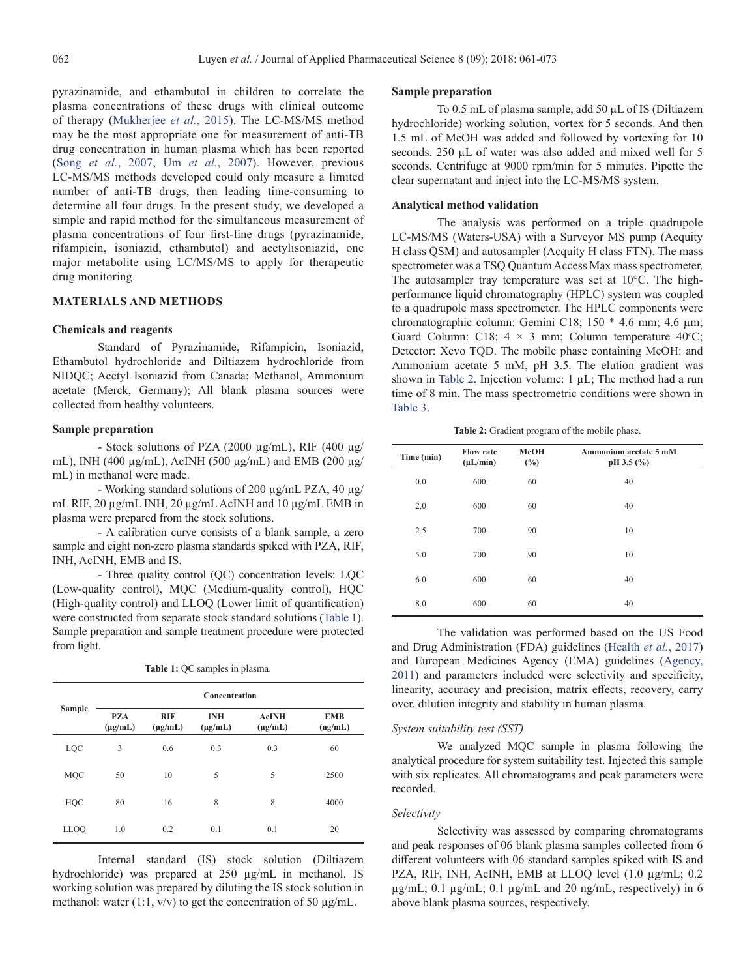pyrazinamide, and ethambutol in children to correlate the plasma concentrations of these drugs with clinical outcome of therapy ([Mukherjee](#page-11-3) *et al.*, 2015). The LC-MS/MS method may be the most appropriate one for measurement of anti-TB drug concentration in human plasma which has been reported (Song *et al.*[, 2007,](#page-11-4) Um *et al.*[, 2007\)](#page-11-5). However, previous LC-MS/MS methods developed could only measure a limited number of anti-TB drugs, then leading time-consuming to determine all four drugs. In the present study, we developed a simple and rapid method for the simultaneous measurement of plasma concentrations of four first-line drugs (pyrazinamide, rifampicin, isoniazid, ethambutol) and acetylisoniazid, one major metabolite using LC/MS/MS to apply for therapeutic drug monitoring.

## **MATERIALS AND METHODS**

#### **Chemicals and reagents**

Standard of Pyrazinamide, Rifampicin, Isoniazid, Ethambutol hydrochloride and Diltiazem hydrochloride from NIDQC; Acetyl Isoniazid from Canada; Methanol, Ammonium acetate (Merck, Germany); All blank plasma sources were collected from healthy volunteers.

#### **Sample preparation**

- Stock solutions of PZA (2000 µg/mL), RIF (400 µg/ mL), INH (400 µg/mL), AcINH (500 µg/mL) and EMB (200 µg/ mL) in methanol were made.

- Working standard solutions of 200 µg/mL PZA, 40 µg/ mL RIF, 20 µg/mL INH, 20 µg/mL AcINH and 10 µg/mL EMB in plasma were prepared from the stock solutions.

- A calibration curve consists of a blank sample, a zero sample and eight non-zero plasma standards spiked with PZA, RIF, INH, AcINH, EMB and IS.

- Three quality control (QC) concentration levels: LQC (Low-quality control), MQC (Medium-quality control), HQC (High-quality control) and LLOQ (Lower limit of quantification) were constructed from separate stock standard solutions [\(Table 1](#page-1-0)). Sample preparation and sample treatment procedure were protected from light.

<span id="page-1-0"></span>

| <b>Table 1:</b> QC samples in plasma. |  |  |  |  |
|---------------------------------------|--|--|--|--|

|               | Concentration              |                            |                            |                              |                       |  |  |
|---------------|----------------------------|----------------------------|----------------------------|------------------------------|-----------------------|--|--|
| <b>Sample</b> | <b>PZA</b><br>$(\mu g/mL)$ | <b>RIF</b><br>$(\mu g/mL)$ | <b>INH</b><br>$(\mu g/mL)$ | <b>AcINH</b><br>$(\mu g/mL)$ | <b>EMB</b><br>(ng/mL) |  |  |
| LQC           | 3                          | 0.6                        | 0.3                        | 0.3                          | 60                    |  |  |
| <b>MQC</b>    | 50                         | 10                         | 5                          | 5                            | 2500                  |  |  |
| HQC           | 80                         | 16                         | 8                          | 8                            | 4000                  |  |  |
| <b>LLOO</b>   | 1.0                        | 0.2                        | 0.1                        | 0.1                          | 20                    |  |  |

Internal standard (IS) stock solution (Diltiazem hydrochloride) was prepared at 250 µg/mL in methanol. IS working solution was prepared by diluting the IS stock solution in methanol: water (1:1,  $v/v$ ) to get the concentration of 50  $\mu$ g/mL.

# **Sample preparation**

To 0.5 mL of plasma sample, add 50 µL of IS (Diltiazem hydrochloride) working solution, vortex for 5 seconds. And then 1.5 mL of MeOH was added and followed by vortexing for 10 seconds. 250 µL of water was also added and mixed well for 5 seconds. Centrifuge at 9000 rpm/min for 5 minutes. Pipette the clear supernatant and inject into the LC-MS/MS system.

# **Analytical method validation**

The analysis was performed on a triple quadrupole LC-MS/MS (Waters-USA) with a Surveyor MS pump (Acquity H class QSM) and autosampler (Acquity H class FTN). The mass spectrometer was a TSQ Quantum Access Max mass spectrometer. The autosampler tray temperature was set at 10°C. The highperformance liquid chromatography (HPLC) system was coupled to a quadrupole mass spectrometer. The HPLC components were chromatographic column: Gemini C18; 150 \* 4.6 mm; 4.6 µm; Guard Column: C18;  $4 \times 3$  mm; Column temperature 40°C; Detector: Xevo TQD. The mobile phase containing MeOH: and Ammonium acetate 5 mM, pH 3.5. The elution gradient was shown in [Table 2.](#page-1-1) Injection volume: 1 µL; The method had a run time of 8 min. The mass spectrometric conditions were shown in Table 3.

<span id="page-1-1"></span>**Table 2:** Gradient program of the mobile phase.

| Time (min) | <b>Flow rate</b><br>$(\mu L/min)$ | <b>MeOH</b><br>$(\%)$ | Ammonium acetate 5 mM<br>$pH$ 3.5 $(\%$ |
|------------|-----------------------------------|-----------------------|-----------------------------------------|
| 0.0        | 600                               | 60                    | 40                                      |
| 2.0        | 600                               | 60                    | 40                                      |
| 2.5        | 700                               | 90                    | 10                                      |
| 5.0        | 700                               | 90                    | 10                                      |
| 6.0        | 600                               | 60                    | 40                                      |
| 8.0        | 600                               | 60                    | 40                                      |

The validation was performed based on the US Food and Drug Administration (FDA) guidelines (Health *et al.*, 2017) and European Medicines Agency (EMA) guidelines ([Agency,](#page-11-6) [2011](#page-11-6)) and parameters included were selectivity and specificity, linearity, accuracy and precision, matrix effects, recovery, carry over, dilution integrity and stability in human plasma.

# *System suitability test (SST)*

We analyzed MQC sample in plasma following the analytical procedure for system suitability test. Injected this sample with six replicates. All chromatograms and peak parameters were recorded.

#### *Selectivity*

Selectivity was assessed by comparing chromatograms and peak responses of 06 blank plasma samples collected from 6 different volunteers with 06 standard samples spiked with IS and PZA, RIF, INH, AcINH, EMB at LLOQ level (1.0 µg/mL; 0.2 µg/mL; 0.1 µg/mL; 0.1 µg/mL and 20 ng/mL, respectively) in 6 above blank plasma sources, respectively.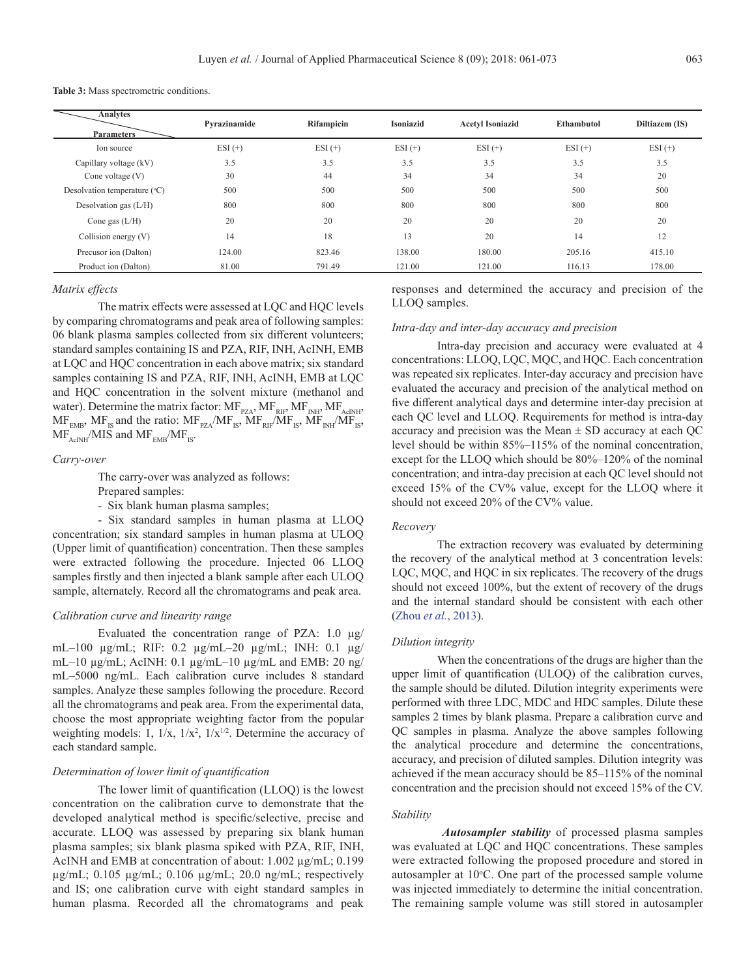**Table 3:** Mass spectrometric conditions.

| <b>Analytes</b><br><b>Parameters</b> | Pyrazinamide | <b>Rifampicin</b> | <b>Isoniazid</b> | <b>Acetyl Isoniazid</b> | Ethambutol | Diltiazem (IS) |
|--------------------------------------|--------------|-------------------|------------------|-------------------------|------------|----------------|
| Ion source                           | $ESI (+)$    | $ESI (+)$         | $ESI (+)$        | $ESI (+)$               | $ESI (+)$  | $ESI (+)$      |
| Capillary voltage (kV)               | 3.5          | 3.5               | 3.5              | 3.5                     | 3.5        | 3.5            |
| Cone voltage $(V)$                   | 30           | 44                | 34               | 34                      | 34         | 20             |
| Desolvation temperature $(°C)$       | 500          | 500               | 500              | 500                     | 500        | 500            |
| Desolvation gas $(L/H)$              | 800          | 800               | 800              | 800                     | 800        | 800            |
| Cone gas $(L/H)$                     | 20           | 20                | 20               | 20                      | 20         | 20             |
| Collision energy $(V)$               | 14           | 18                | 13               | 20                      | 14         | 12             |
| Precusor ion (Dalton)                | 124.00       | 823.46            | 138.00           | 180.00                  | 205.16     | 415.10         |
| Product ion (Dalton)                 | 81.00        | 791.49            | 121.00           | 121.00                  | 116.13     | 178.00         |

#### *Matrix effects*

The matrix effects were assessed at LQC and HQC levels by comparing chromatograms and peak area of following samples: 06 blank plasma samples collected from six different volunteers; standard samples containing IS and PZA, RIF, INH, AcINH, EMB at LQC and HQC concentration in each above matrix; six standard samples containing IS and PZA, RIF, INH, AcINH, EMB at LQC and HQC concentration in the solvent mixture (methanol and water). Determine the matrix factor:  $MF_{PZA}$ ,  $MF_{RIF}$ ,  $MF_{NHF}$ ,  $MF_{AcINH}$ ,  $MF_{FMB}$ ,  $MF_{IS}$  and the ratio:  $MF_{PZA}/MF_{IS}$ ,  $MF_{RIF}/MF_{IS}$ ,  $MF_{NH}/MF_{IS}$ ,  $MF_{AcNH}$ /MIS and  $MF_{FMR}$ /MF<sub>IS</sub>.

#### *Carry-over*

The carry-over was analyzed as follows:

Prepared samples:

*-* Six blank human plasma samples;

- Six standard samples in human plasma at LLOQ concentration; six standard samples in human plasma at ULOQ (Upper limit of quantification) concentration. Then these samples were extracted following the procedure. Injected 06 LLOQ samples firstly and then injected a blank sample after each ULOQ sample, alternately. Record all the chromatograms and peak area.

#### *Calibration curve and linearity range*

Evaluated the concentration range of PZA: 1.0 µg/ mL–100 µg/mL; RIF: 0.2 µg/mL–20 µg/mL; INH: 0.1 µg/ mL–10  $\mu$ g/mL; AcINH: 0.1  $\mu$ g/mL–10  $\mu$ g/mL and EMB: 20 ng/ mL–5000 ng/mL. Each calibration curve includes 8 standard samples. Analyze these samples following the procedure. Record all the chromatograms and peak area. From the experimental data, choose the most appropriate weighting factor from the popular weighting models: 1,  $1/x$ ,  $1/x^2$ ,  $1/x^{1/2}$ . Determine the accuracy of each standard sample.

# *Determination of lower limit of quantification*

The lower limit of quantification (LLOQ) is the lowest concentration on the calibration curve to demonstrate that the developed analytical method is specific/selective, precise and accurate. LLOQ was assessed by preparing six blank human plasma samples; six blank plasma spiked with PZA, RIF, INH, AcINH and EMB at concentration of about: 1.002 µg/mL; 0.199 µg/mL; 0.105 µg/mL; 0.106 µg/mL; 20.0 ng/mL; respectively and IS; one calibration curve with eight standard samples in human plasma. Recorded all the chromatograms and peak

responses and determined the accuracy and precision of the LLOQ samples.

#### *Intra-day and inter-day accuracy and precision*

Intra-day precision and accuracy were evaluated at 4 concentrations: LLOQ, LQC, MQC, and HQC. Each concentration was repeated six replicates. Inter-day accuracy and precision have evaluated the accuracy and precision of the analytical method on five different analytical days and determine inter-day precision at each QC level and LLOQ. Requirements for method is intra-day accuracy and precision was the Mean  $\pm$  SD accuracy at each QC level should be within 85%–115% of the nominal concentration, except for the LLOQ which should be 80%–120% of the nominal concentration; and intra-day precision at each QC level should not exceed 15% of the CV% value, except for the LLOQ where it should not exceed 20% of the CV% value.

#### *Recovery*

The extraction recovery was evaluated by determining the recovery of the analytical method at 3 concentration levels: LQC, MQC, and HQC in six replicates. The recovery of the drugs should not exceed 100%, but the extent of recovery of the drugs and the internal standard should be consistent with each other (Zhou *et al.*, 2013).

#### *Dilution integrity*

When the concentrations of the drugs are higher than the upper limit of quantification (ULOQ) of the calibration curves, the sample should be diluted. Dilution integrity experiments were performed with three LDC, MDC and HDC samples. Dilute these samples 2 times by blank plasma. Prepare a calibration curve and QC samples in plasma. Analyze the above samples following the analytical procedure and determine the concentrations, accuracy, and precision of diluted samples. Dilution integrity was achieved if the mean accuracy should be 85–115% of the nominal concentration and the precision should not exceed 15% of the CV.

# *Stability*

*Autosampler stability* of processed plasma samples was evaluated at LQC and HQC concentrations. These samples were extracted following the proposed procedure and stored in autosampler at 10°C. One part of the processed sample volume was injected immediately to determine the initial concentration. The remaining sample volume was still stored in autosampler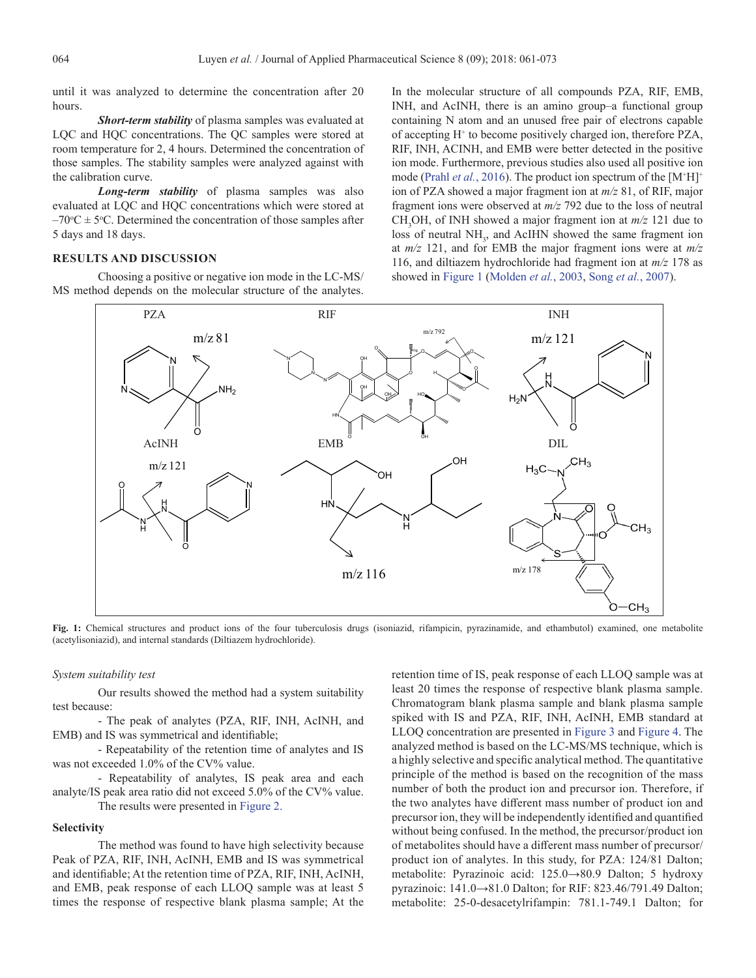until it was analyzed to determine the concentration after 20 hours.

*Short-term stability* of plasma samples was evaluated at LQC and HQC concentrations. The QC samples were stored at room temperature for 2, 4 hours. Determined the concentration of those samples. The stability samples were analyzed against with the calibration curve.

*Long-term stability* of plasma samples was also evaluated at LQC and HQC concentrations which were stored at  $-70$ <sup>o</sup>C  $\pm$  5<sup>o</sup>C. Determined the concentration of those samples after 5 days and 18 days.

# **RESULTS AND DISCUSSION**

Choosing a positive or negative ion mode in the LC-MS/ MS method depends on the molecular structure of the analytes.

In the molecular structure of all compounds PZA, RIF, EMB, INH, and AcINH, there is an amino group–a functional group containing N atom and an unused free pair of electrons capable of accepting H<sup>+</sup> to become positively charged ion, therefore PZA, RIF, INH, ACINH, and EMB were better detected in the positive ion mode. Furthermore, previous studies also used all positive ion mode (Prahl *et al.*, 2016). The product ion spectrum of the [M<sup>+</sup>H]<sup>+</sup> ion of PZA showed a major fragment ion at *m/z* 81, of RIF, major fragment ions were observed at *m/z* 792 due to the loss of neutral CH<sub>3</sub>OH, of INH showed a major fragment ion at  $m/z$  121 due to loss of neutral NH<sub>3</sub>, and AcIHN showed the same fragment ion at *m/z* 121, and for EMB the major fragment ions were at *m/z* 116, and diltiazem hydrochloride had fragment ion at *m/z* 178 as showed in [Figure 1](#page-3-0) (Molden *et al.*, 2003, Song *et al.*[, 2007](#page-11-5)).



<span id="page-3-0"></span>**Fig. 1:** Chemical structures and product ions of the four tuberculosis drugs (isoniazid, rifampicin, pyrazinamide, and ethambutol) examined, one metabolite (acetylisoniazid), and internal standards (Diltiazem hydrochloride).

#### *System suitability test*

Our results showed the method had a system suitability test because:

- The peak of analytes (PZA, RIF, INH, AcINH, and EMB) and IS was symmetrical and identifiable;

- Repeatability of the retention time of analytes and IS was not exceeded 1.0% of the CV% value.

- Repeatability of analytes, IS peak area and each analyte/IS peak area ratio did not exceed 5.0% of the CV% value. The results were presented in [Figure 2.](#page-4-0)

#### **Selectivity**

The method was found to have high selectivity because Peak of PZA, RIF, INH, AcINH, EMB and IS was symmetrical and identifiable; At the retention time of PZA, RIF, INH, AcINH, and EMB, peak response of each LLOQ sample was at least 5 times the response of respective blank plasma sample; At the retention time of IS, peak response of each LLOQ sample was at least 20 times the response of respective blank plasma sample. Chromatogram blank plasma sample and blank plasma sample spiked with IS and PZA, RIF, INH, AcINH, EMB standard at LLOQ concentration are presented in [Figure 3](#page-5-0) and [Figure 4.](#page-6-0) The analyzed method is based on the LC-MS/MS technique, which is a highly selective and specific analytical method. The quantitative principle of the method is based on the recognition of the mass number of both the product ion and precursor ion. Therefore, if the two analytes have different mass number of product ion and precursor ion, they will be independently identified and quantified without being confused. In the method, the precursor/product ion of metabolites should have a different mass number of precursor/ product ion of analytes. In this study, for PZA: 124/81 Dalton; metabolite: Pyrazinoic acid: 125.0→80.9 Dalton; 5 hydroxy pyrazinoic: 141.0→81.0 Dalton; for RIF: 823.46/791.49 Dalton; metabolite: 25-0-desacetylrifampin: 781.1-749.1 Dalton; for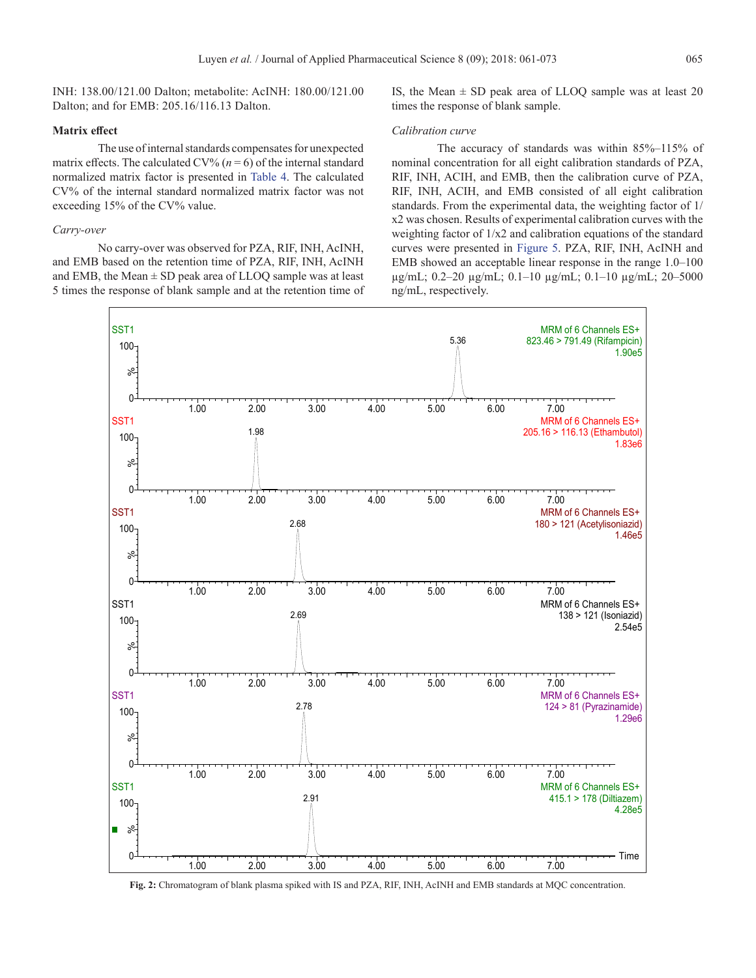INH: 138.00/121.00 Dalton; metabolite: AcINH: 180.00/121.00 Dalton; and for EMB: 205.16/116.13 Dalton.

# **Matrix effect**

The use of internal standards compensates for unexpected matrix effects. The calculated CV%  $(n=6)$  of the internal standard normalized matrix factor is presented in [Table 4](#page-5-1). The calculated CV% of the internal standard normalized matrix factor was not exceeding 15% of the CV% value.

#### *Carry-over*

No carry-over was observed for PZA, RIF, INH, AcINH, and EMB based on the retention time of PZA, RIF, INH, AcINH and EMB, the Mean  $\pm$  SD peak area of LLOQ sample was at least 5 times the response of blank sample and at the retention time of IS, the Mean  $\pm$  SD peak area of LLOO sample was at least 20 times the response of blank sample.

# *Calibration curve*

The accuracy of standards was within 85%–115% of nominal concentration for all eight calibration standards of PZA, RIF, INH, ACIH, and EMB, then the calibration curve of PZA, RIF, INH, ACIH, and EMB consisted of all eight calibration standards. From the experimental data, the weighting factor of 1/ x2 was chosen. Results of experimental calibration curves with the weighting factor of 1/x2 and calibration equations of the standard curves were presented in [Figure 5](#page-7-0). PZA, RIF, INH, AcINH and EMB showed an acceptable linear response in the range 1.0–100 µg/mL; 0.2–20 µg/mL; 0.1–10 µg/mL; 0.1–10 µg/mL; 20–5000 ng/mL, respectively.



<span id="page-4-0"></span>**Fig. 2:** Chromatogram of blank plasma spiked with IS and PZA, RIF, INH, AcINH and EMB standards at MQC concentration.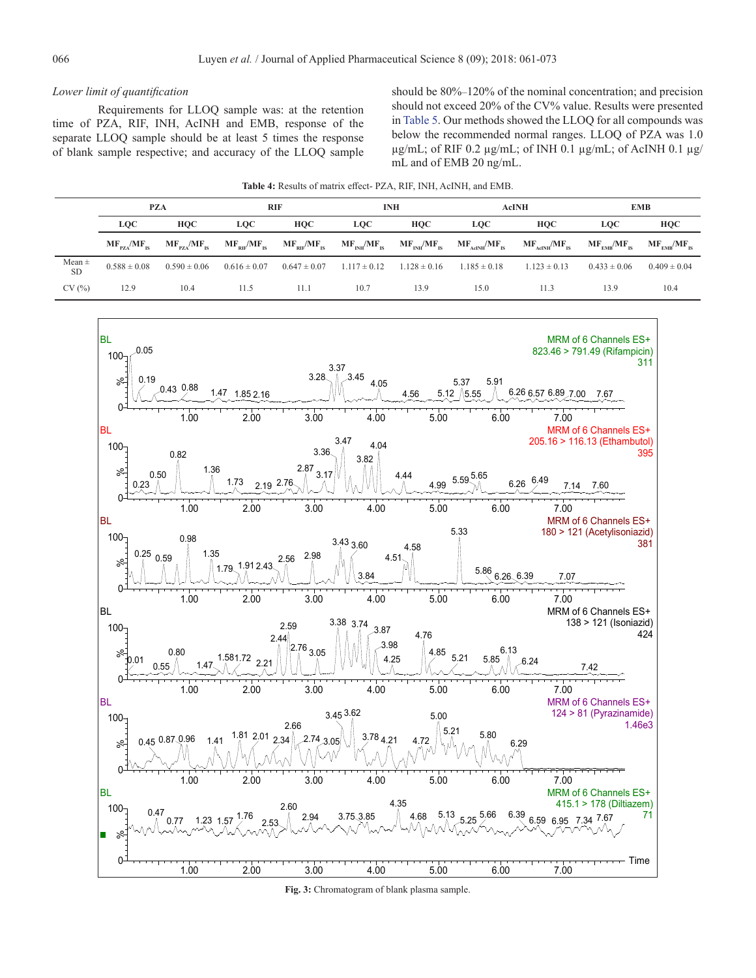# *Lower limit of quantification*

Requirements for LLOQ sample was: at the retention time of PZA, RIF, INH, AcINH and EMB, response of the separate LLOQ sample should be at least 5 times the response of blank sample respective; and accuracy of the LLOQ sample

<span id="page-5-1"></span>should be 80%–120% of the nominal concentration; and precision should not exceed 20% of the CV% value. Results were presented in [Table 5](#page-6-1). Our methods showed the LLOQ for all compounds was below the recommended normal ranges. LLOQ of PZA was 1.0 µg/mL; of RIF 0.2 µg/mL; of INH 0.1 µg/mL; of AcINH 0.1 µg/ mL and of EMB 20 ng/mL.

| <b>Table 4:</b> Results of matrix effect- PZA, RIF, INH, AcINH, and EMB. |  |  |  |
|--------------------------------------------------------------------------|--|--|--|
|--------------------------------------------------------------------------|--|--|--|

|                         |                                        | <b>PZA</b>                             |                  | RIF                                                                                    | <b>INH</b>                        |            |                                                                                 | <b>AcINH</b>                                   | <b>EMB</b>                                                |                  |
|-------------------------|----------------------------------------|----------------------------------------|------------------|----------------------------------------------------------------------------------------|-----------------------------------|------------|---------------------------------------------------------------------------------|------------------------------------------------|-----------------------------------------------------------|------------------|
|                         | LQC                                    | <b>HOC</b>                             | LOC.             | HOC                                                                                    | <b>LOC</b>                        | <b>HOC</b> | <b>LOC</b>                                                                      | HOC                                            | LOC                                                       | <b>HQC</b>       |
|                         | $\rm{MF}_{\rm{BZ}}/ \rm{MF}_{\rm{IS}}$ | $\rm{MF}_{\rm{PZA}}/\rm{MF}_{\rm{IS}}$ |                  | ${M}F_{_{RIF}}/{M}F_{_{IS}}$ ${M}F_{_{RIF}}/{M}F_{_{IS}}$ ${M}F_{_{INH}}/{M}F_{_{IS}}$ |                                   |            | $\rm{MF}_{\rm{INH}}/\rm{MF}_{\rm{IS}}$ $\rm{MF}_{\rm{AeINH}}/\rm{MF}_{\rm{IS}}$ | $\rm{MF}_{_{\rm{AeINH}}}\rm{/MF}_{_{\rm{IS}}}$ | $\rm{MF}_{FMB}/\rm{MF}_{IS}$ $\rm{MF}_{FMB}/\rm{MF}_{IS}$ |                  |
| Mean $\pm$<br><b>SD</b> | $0.588 \pm 0.08$                       | $0.590 \pm 0.06$                       | $0.616 \pm 0.07$ | $0.647 \pm 0.07$                                                                       | $1.117 \pm 0.12$ $1.128 \pm 0.16$ |            | $1.185 \pm 0.18$                                                                | $1.123 \pm 0.13$                               | $0.433 \pm 0.06$                                          | $0.409 \pm 0.04$ |
| CV(%)                   | 12.9                                   | 10.4                                   | 11.5             | 11.1                                                                                   | 10.7                              | 13.9       | 15.0                                                                            | 11.3                                           | 13.9                                                      | 10.4             |



<span id="page-5-0"></span>**Fig. 3:** Chromatogram of blank plasma sample.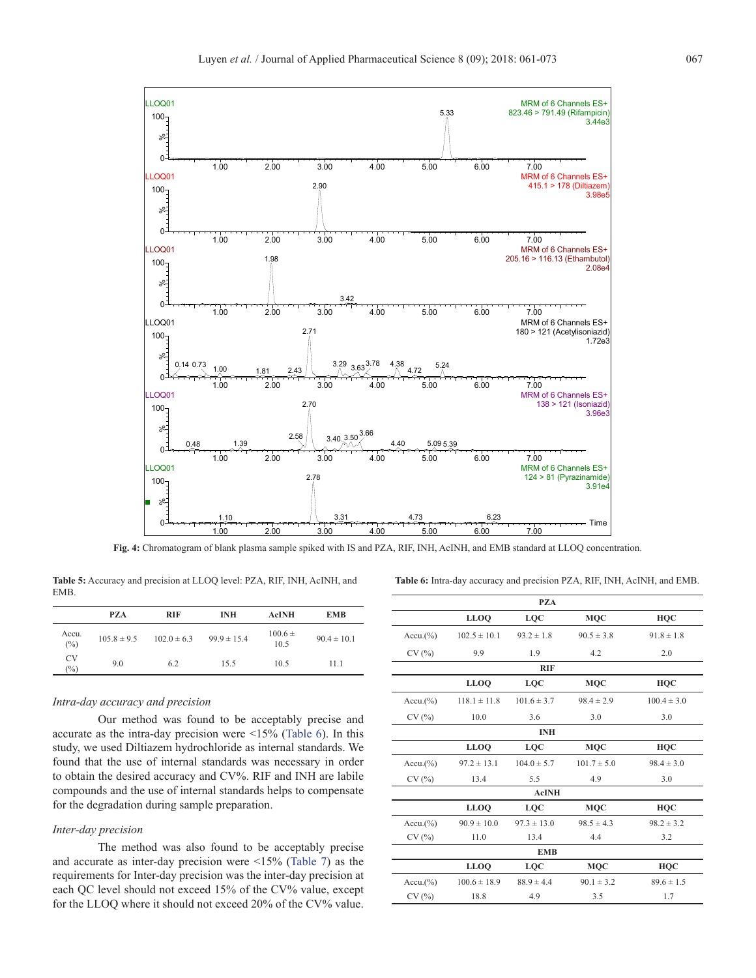

<span id="page-6-0"></span>**Fig. 4:** Chromatogram of blank plasma sample spiked with IS and PZA, RIF, INH, AcINH, and EMB standard at LLOQ concentration.

<span id="page-6-1"></span>**Table 5:** Accuracy and precision at LLOQ level: PZA, RIF, INH, AcINH, and EMB.

<span id="page-6-2"></span>

| <b>Table 6:</b> Intra-day accuracy and precision PZA, RIF, INH, AcINH, and EMB. |  |  |  |
|---------------------------------------------------------------------------------|--|--|--|
|                                                                                 |  |  |  |

|              | <b>PZA</b>      | <b>RIF</b>      | <b>INH</b>      | <b>AcINH</b>        | <b>EMB</b>      |
|--------------|-----------------|-----------------|-----------------|---------------------|-----------------|
| Accu.<br>(%) | $105.8 \pm 9.5$ | $102.0 \pm 6.3$ | $99.9 \pm 15.4$ | $100.6 \pm$<br>10.5 | $90.4 \pm 10.1$ |
| CV<br>(%)    | 9.0             | 6.2             | 15.5            | 10.5                | 11.1            |

#### *Intra-day accuracy and precision*

Our method was found to be acceptably precise and accurate as the intra-day precision were <15% ([Table 6](#page-6-2)). In this study, we used Diltiazem hydrochloride as internal standards. We found that the use of internal standards was necessary in order to obtain the desired accuracy and CV%. RIF and INH are labile compounds and the use of internal standards helps to compensate for the degradation during sample preparation.

#### *Inter-day precision*

The method was also found to be acceptably precise and accurate as inter-day precision were <15% ([Table 7](#page-8-0)) as the requirements for Inter-day precision was the inter-day precision at each QC level should not exceed 15% of the CV% value, except for the LLOQ where it should not exceed 20% of the CV% value.

|             |                  | <b>PZA</b>      |                 |                 |
|-------------|------------------|-----------------|-----------------|-----------------|
|             | <b>LLOQ</b>      | LQC             | <b>MQC</b>      | <b>HQC</b>      |
| $Accu.$ (%) | $102.5 \pm 10.1$ | $93.2 \pm 1.8$  | $90.5 \pm 3.8$  | $91.8 \pm 1.8$  |
| CV(%)       | 9.9              | 1.9             | 4.2             | 2.0             |
|             |                  | <b>RIF</b>      |                 |                 |
|             | <b>LLOQ</b>      | LQC             | <b>MQC</b>      | <b>HQC</b>      |
| $Accu.$ (%) | $118.1 \pm 11.8$ | $101.6 \pm 3.7$ | $98.4 \pm 2.9$  | $100.4 \pm 3.0$ |
| CV(%)       | 10.0             | 3.6             | 3.0             | 3.0             |
|             |                  | <b>INH</b>      |                 |                 |
|             | <b>LLOQ</b>      | LQC             | <b>MQC</b>      | <b>HQC</b>      |
| $Accu.$ (%) | $97.2 \pm 13.1$  | $104.0 \pm 5.7$ | $101.7 \pm 5.0$ | $98.4 \pm 3.0$  |
| CV(%)       | 13.4             | 5.5             | 4.9             | 3.0             |
|             |                  | <b>AcINH</b>    |                 |                 |
|             | <b>LLOQ</b>      | <b>LQC</b>      | <b>MQC</b>      | <b>HQC</b>      |
| $Accu.$ (%) | $90.9 \pm 10.0$  | $97.3 \pm 13.0$ | $98.5 \pm 4.3$  | $98.2 \pm 3.2$  |
| CV(%)       | 11.0             | 13.4            | 4.4             | 3.2             |
|             |                  | <b>EMB</b>      |                 |                 |
|             | <b>LLOO</b>      | LQC             | <b>MQC</b>      | <b>HQC</b>      |
| $Accu.$ (%) | $100.6 \pm 18.9$ | $88.9 \pm 4.4$  | $90.1 \pm 3.2$  | $89.6 \pm 1.5$  |
| CV(%)       | 18.8             | 4.9             | 3.5             | 1.7             |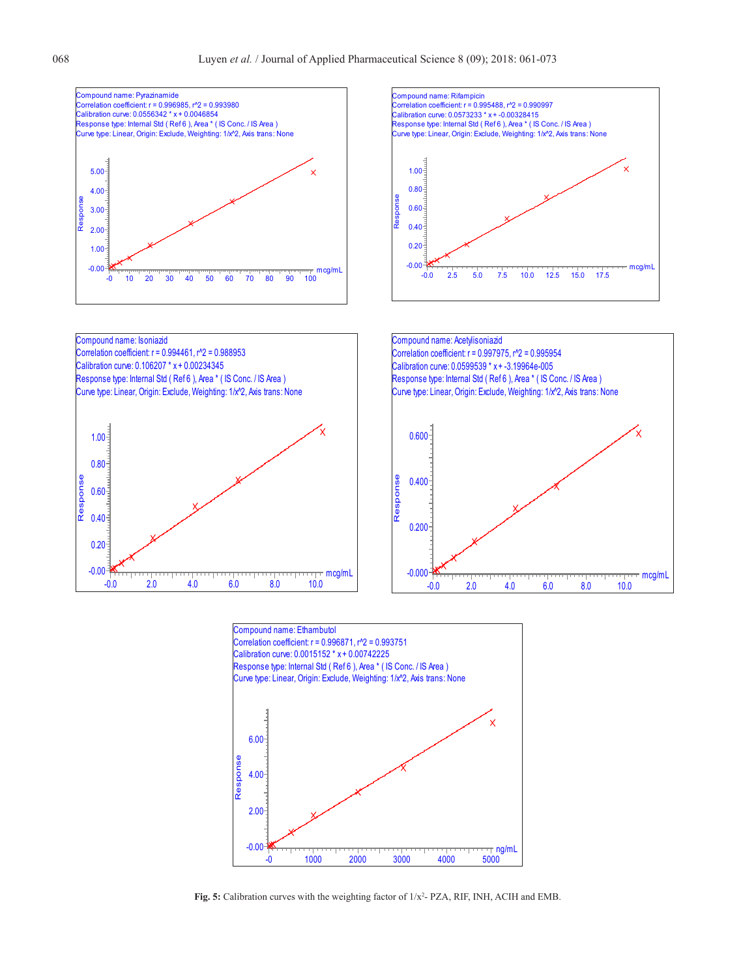



<span id="page-7-0"></span>Fig. 5: Calibration curves with the weighting factor of  $1/x^2$ -PZA, RIF, INH, ACIH and EMB.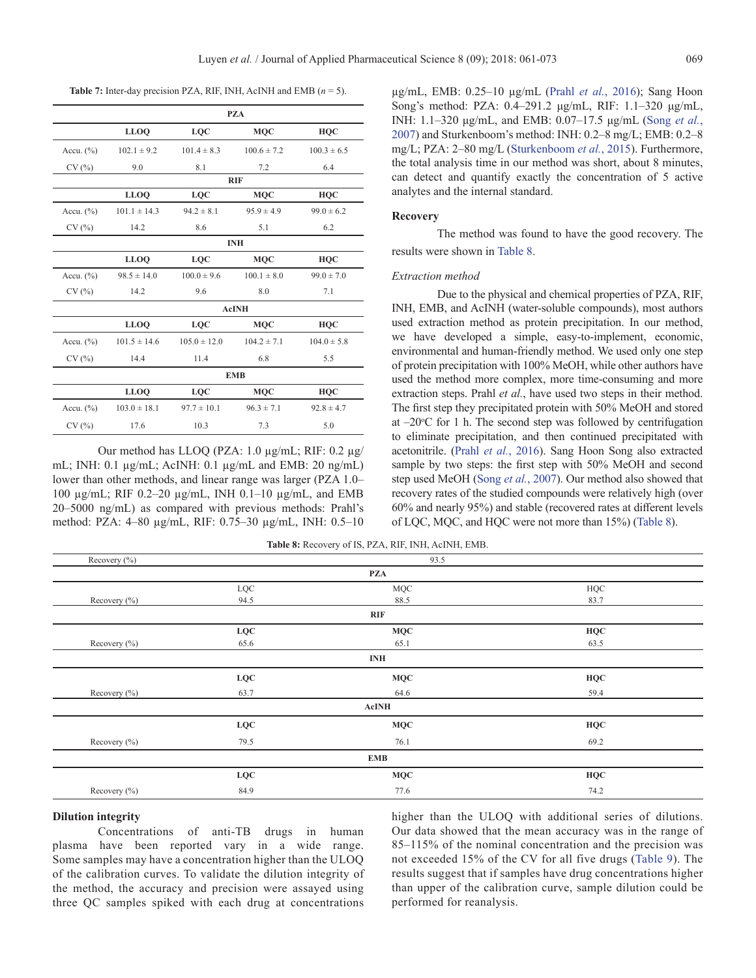<span id="page-8-0"></span>**Table 7:** Inter-day precision PZA, RIF, INH, AcINH and EMB  $(n = 5)$ .

|               |                  |                  | <b>PZA</b>      |                 |
|---------------|------------------|------------------|-----------------|-----------------|
|               | <b>LLOO</b>      | <b>LOC</b>       | <b>MOC</b>      | <b>HOC</b>      |
| Accu. $(\% )$ | $102.1 \pm 9.2$  | $101.4 \pm 8.3$  | $100.6 \pm 7.2$ | $100.3 \pm 6.5$ |
| CV(%)         | 9.0              | 8.1              | 7.2             | 6.4             |
|               |                  |                  | <b>RIF</b>      |                 |
|               | <b>LLOO</b>      | <b>LQC</b>       | <b>MQC</b>      | HQC             |
| Accu. $(\% )$ | $101.1 \pm 14.3$ | $94.2 \pm 8.1$   | $95.9 \pm 4.9$  | $99.0 \pm 6.2$  |
| CV(%)         | 14.2             | 8.6              | 5.1             | 6.2             |
|               |                  |                  | <b>INH</b>      |                 |
|               | <b>LLOQ</b>      | <b>LQC</b>       | <b>MQC</b>      | <b>HQC</b>      |
| Accu. $(\% )$ | $98.5 \pm 14.0$  | $100.0 \pm 9.6$  | $100.1 \pm 8.0$ | $99.0 \pm 7.0$  |
| CV(%)         | 14.2             | 9.6              | 8.0             | 7.1             |
|               |                  |                  | <b>AcINH</b>    |                 |
|               | <b>LLOO</b>      | <b>LOC</b>       | <b>MOC</b>      | <b>HOC</b>      |
| Accu. $(\% )$ | $101.5 \pm 14.6$ | $105.0 \pm 12.0$ | $104.2 \pm 7.1$ | $104.0 \pm 5.8$ |
| CV(%)         | 14.4             | 11.4             | 6.8             | 5.5             |
|               |                  |                  | <b>EMB</b>      |                 |
|               | <b>LLOQ</b>      | LOC              | <b>MQC</b>      | <b>HOC</b>      |
| Accu. $(\% )$ | $103.0 \pm 18.1$ | $97.7 \pm 10.1$  | $96.3 \pm 7.1$  | $92.8 \pm 4.7$  |
| CV(%)         | 17.6             | 10.3             | 7.3             | 5.0             |

Our method has LLOQ (PZA: 1.0 µg/mL; RIF: 0.2 µg/ mL; INH: 0.1 µg/mL; AcINH: 0.1 µg/mL and EMB: 20 ng/mL) lower than other methods, and linear range was larger (PZA 1.0– 100 µg/mL; RIF 0.2–20 µg/mL, INH 0.1–10 µg/mL, and EMB 20–5000 ng/mL) as compared with previous methods: Prahl's method: PZA: 4–80 µg/mL, RIF: 0.75–30 µg/mL, INH: 0.5–10

µg/mL, EMB: 0.25–10 µg/mL (Prahl *et al.*, 2016); Sang Hoon Song's method: PZA: 0.4–291.2 μg/mL, RIF: 1.1–320 μg/mL, INH: 1.1–320 μg/mL, and EMB: 0.07–17.5 μg/mL ([Song](#page-11-4) *et al.*, [2007\)](#page-11-4) and Sturkenboom's method: INH: 0.2–8 mg/L; EMB: 0.2–8 mg/L; PZA: 2–80 mg/L ([Sturkenboom](#page-11-7) *et al.*, 2015). Furthermore, the total analysis time in our method was short, about 8 minutes, can detect and quantify exactly the concentration of 5 active analytes and the internal standard.

#### **Recovery**

The method was found to have the good recovery. The results were shown in [Table 8](#page-8-1).

#### *Extraction method*

Due to the physical and chemical properties of PZA, RIF, INH, EMB, and AcINH (water-soluble compounds), most authors used extraction method as protein precipitation. In our method, we have developed a simple, easy-to-implement, economic, environmental and human-friendly method. We used only one step of protein precipitation with 100% MeOH, while other authors have used the method more complex, more time-consuming and more extraction steps. Prahl *et al.*, have used two steps in their method. The first step they precipitated protein with 50% MeOH and stored at  $-20^{\circ}$ C for 1 h. The second step was followed by centrifugation to eliminate precipitation, and then continued precipitated with acetonitrile. (Prahl *et al.*, 2016). Sang Hoon Song also extracted sample by two steps: the first step with 50% MeOH and second step used MeOH (Song *et al.*[, 2007\)](#page-11-4). Our method also showed that recovery rates of the studied compounds were relatively high (over 60% and nearly 95%) and stable (recovered rates at different levels of LQC, MQC, and HQC were not more than 15%) ([Table](#page-8-1) 8).

<span id="page-8-1"></span>**Table 8:** Recovery of IS, PZA, RIF, INH, AcINH, EMB.

|                   | <b>PZA</b>   |      |
|-------------------|--------------|------|
|                   |              |      |
| $_{\mathrm{LQC}}$ | <b>MQC</b>   | HQC  |
| 94.5              | 88.5         | 83.7 |
|                   | <b>RIF</b>   |      |
| <b>LQC</b>        | <b>MQC</b>   | HQC  |
| 65.6              | 65.1         | 63.5 |
|                   | <b>INH</b>   |      |
| LQC               | <b>MQC</b>   | HQC  |
| 63.7              | 64.6         | 59.4 |
|                   | <b>AcINH</b> |      |
| LQC               | <b>MQC</b>   | HQC  |
| 79.5              | 76.1         | 69.2 |
|                   | <b>EMB</b>   |      |
| <b>LQC</b>        | <b>MQC</b>   | HQC  |
| 84.9              | 77.6         | 74.2 |
|                   |              |      |

#### **Dilution integrity**

Concentrations of anti-TB drugs in human plasma have been reported vary in a wide range. Some samples may have a concentration higher than the ULOQ of the calibration curves. To validate the dilution integrity of the method, the accuracy and precision were assayed using three QC samples spiked with each drug at concentrations

higher than the ULOQ with additional series of dilutions. Our data showed that the mean accuracy was in the range of 85–115% of the nominal concentration and the precision was not exceeded 15% of the CV for all five drugs ([Table](#page-9-0) 9). The results suggest that if samples have drug concentrations higher than upper of the calibration curve, sample dilution could be performed for reanalysis.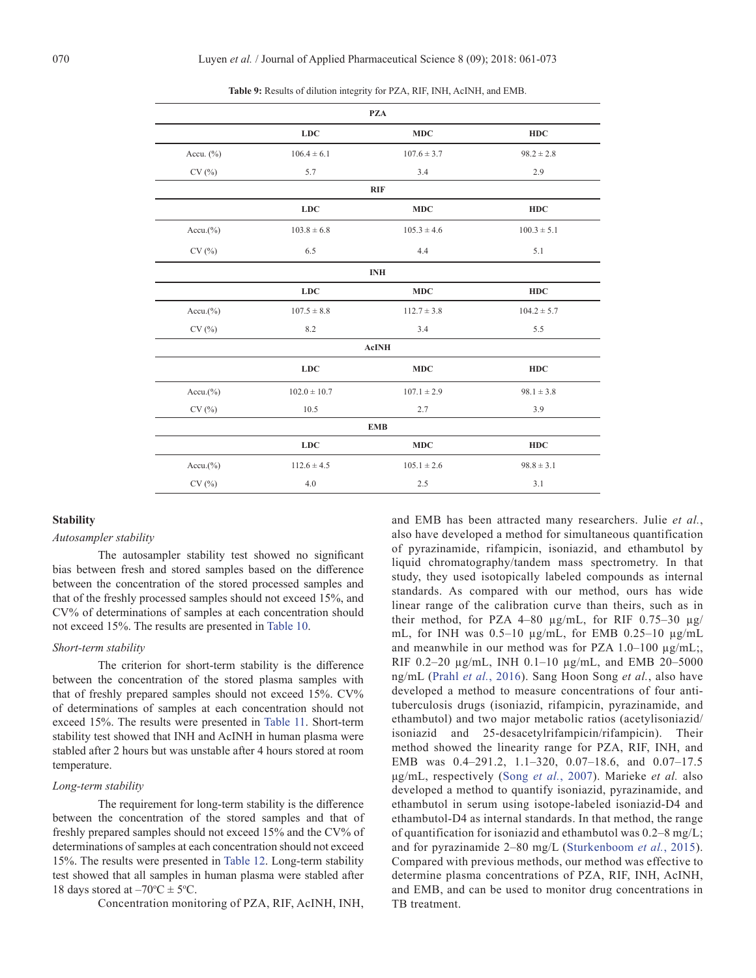|               |                  | <b>PZA</b>      |                 |
|---------------|------------------|-----------------|-----------------|
|               | LDC              | MDC             | <b>HDC</b>      |
| Accu. $(\% )$ | $106.4 \pm 6.1$  | $107.6 \pm 3.7$ | $98.2 \pm 2.8$  |
| CV(%)         | 5.7              | 3.4             | 2.9             |
|               |                  | <b>RIF</b>      |                 |
|               | LDC              | <b>MDC</b>      | HDC             |
| $Accu.$ (%)   | $103.8 \pm 6.8$  | $105.3 \pm 4.6$ | $100.3 \pm 5.1$ |
| CV(%)         | 6.5              | 4.4             | 5.1             |
|               |                  | <b>INH</b>      |                 |
|               | LDC              | MDC             | <b>HDC</b>      |
| $Accu.$ (%)   | $107.5 \pm 8.8$  | $112.7 \pm 3.8$ | $104.2 \pm 5.7$ |
| CV(%)         | 8.2              | 3.4             | 5.5             |
|               |                  | <b>AcINH</b>    |                 |
|               | LDC              | <b>MDC</b>      | <b>HDC</b>      |
| $Accu.$ (%)   | $102.0 \pm 10.7$ | $107.1 \pm 2.9$ | $98.1 \pm 3.8$  |
| CV(%)         | 10.5             | 2.7             | 3.9             |
|               |                  | <b>EMB</b>      |                 |
|               | LDC              | MDC             | <b>HDC</b>      |
| $Accu.$ (%)   | $112.6 \pm 4.5$  | $105.1 \pm 2.6$ | $98.8 \pm 3.1$  |
| CV(%)         | 4.0              | 2.5             | 3.1             |

<span id="page-9-0"></span>**Table 9:** Results of dilution integrity for PZA, RIF, INH, AcINH, and EMB.

#### **Stability**

# *Autosampler stability*

The autosampler stability test showed no significant bias between fresh and stored samples based on the difference between the concentration of the stored processed samples and that of the freshly processed samples should not exceed 15%, and CV% of determinations of samples at each concentration should not exceed 15%. The results are presented in [Table 10](#page-10-0).

#### *Short-term stability*

The criterion for short-term stability is the difference between the concentration of the stored plasma samples with that of freshly prepared samples should not exceed 15%. CV% of determinations of samples at each concentration should not exceed 15%. The results were presented in [Table 11](#page-10-0). Short-term stability test showed that INH and AcINH in human plasma were stabled after 2 hours but was unstable after 4 hours stored at room temperature.

#### *Long-term stability*

The requirement for long-term stability is the difference between the concentration of the stored samples and that of freshly prepared samples should not exceed 15% and the CV% of determinations of samples at each concentration should not exceed 15%. The results were presented in [Table 1](#page-10-1)2. Long-term stability test showed that all samples in human plasma were stabled after 18 days stored at  $-70$ <sup>o</sup>C  $\pm$  5<sup>o</sup>C.

Concentration monitoring of PZA, RIF, AcINH, INH,

and EMB has been attracted many researchers. Julie *et al.*, also have developed a method for simultaneous quantification of pyrazinamide, rifampicin, isoniazid, and ethambutol by liquid chromatography/tandem mass spectrometry. In that study, they used isotopically labeled compounds as internal standards. As compared with our method, ours has wide linear range of the calibration curve than theirs, such as in their method, for PZA 4–80  $\mu$ g/mL, for RIF 0.75–30  $\mu$ g/ mL, for INH was  $0.5-10 \mu g/mL$ , for EMB  $0.25-10 \mu g/mL$ and meanwhile in our method was for PZA  $1.0-100 \mu g/mL$ ; RIF 0.2–20 µg/mL, INH 0.1–10 µg/mL, and EMB 20–5000 ng/mL (Prahl *et al.*, 2016). Sang Hoon Song *et al.*, also have developed a method to measure concentrations of four antituberculosis drugs (isoniazid, rifampicin, pyrazinamide, and ethambutol) and two major metabolic ratios (acetylisoniazid/ isoniazid and 25-desacetylrifampicin/rifampicin). Their method showed the linearity range for PZA, RIF, INH, and EMB was 0.4–291.2, 1.1–320, 0.07–18.6, and 0.07–17.5 μg/mL, respectively (Song *et al.*[, 2007](#page-11-4)). Marieke *et al.* also developed a method to quantify isoniazid, pyrazinamide, and ethambutol in serum using isotope-labeled isoniazid-D4 and ethambutol-D4 as internal standards. In that method, the range of quantification for isoniazid and ethambutol was 0.2–8 mg/L; and for pyrazinamide 2–80 mg/L [\(Sturkenboom](#page-11-7) *et al.*, 2015). Compared with previous methods, our method was effective to determine plasma concentrations of PZA, RIF, INH, AcINH, and EMB, and can be used to monitor drug concentrations in TB treatment.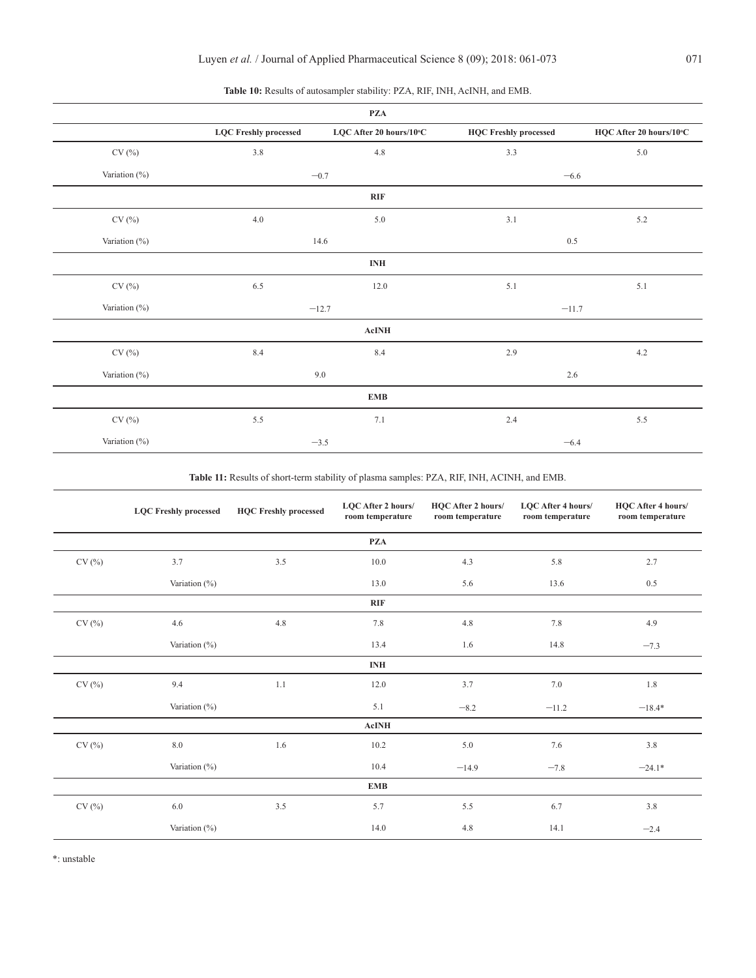| <b>PZA</b>    |                              |                         |                              |                         |  |  |
|---------------|------------------------------|-------------------------|------------------------------|-------------------------|--|--|
|               | <b>LQC</b> Freshly processed | LQC After 20 hours/10°C | <b>HQC Freshly processed</b> | HQC After 20 hours/10°C |  |  |
| CV(%)         | 3.8                          | 4.8                     | 3.3                          | 5.0                     |  |  |
| Variation (%) | $-0.7$                       |                         | $-6.6$                       |                         |  |  |
| RIF           |                              |                         |                              |                         |  |  |
| CV(%)         | 4.0                          | $5.0\,$                 | 3.1                          | 5.2                     |  |  |
| Variation (%) | 14.6                         |                         | $0.5\,$                      |                         |  |  |
| <b>INH</b>    |                              |                         |                              |                         |  |  |
| CV(%)         | 6.5                          | 12.0                    | 5.1                          | 5.1                     |  |  |
| Variation (%) | $-12.7$                      |                         | $-11.7$                      |                         |  |  |
| ${\bf AcINH}$ |                              |                         |                              |                         |  |  |
| CV(%)         | $8.4\,$                      | $8.4\,$                 | $2.9$                        | 4.2                     |  |  |
| Variation (%) | 9.0                          |                         | 2.6                          |                         |  |  |
| <b>EMB</b>    |                              |                         |                              |                         |  |  |
| CV(%)         | 5.5                          | 7.1                     | 2.4                          | $5.5\,$                 |  |  |
| Variation (%) |                              | $-3.5$                  | $-6.4$                       |                         |  |  |

# <span id="page-10-0"></span>**Table 10:** Results of autosampler stability: PZA, RIF, INH, AcINH, and EMB.

**Table 11:** Results of short-term stability of plasma samples: PZA, RIF, INH, ACINH, and EMB.

|       | <b>LQC Freshly processed</b> | <b>HQC Freshly processed</b> | LQC After 2 hours/<br>room temperature | <b>HQC</b> After 2 hours/<br>room temperature | <b>LQC</b> After 4 hours/<br>room temperature | HQC After 4 hours/<br>room temperature |
|-------|------------------------------|------------------------------|----------------------------------------|-----------------------------------------------|-----------------------------------------------|----------------------------------------|
|       |                              |                              | <b>PZA</b>                             |                                               |                                               |                                        |
| CV(%) | 3.7                          | 3.5                          | 10.0                                   | 4.3                                           | 5.8                                           | 2.7                                    |
|       | Variation $(\% )$            |                              | 13.0                                   | 5.6                                           | 13.6                                          | 0.5                                    |
|       |                              |                              | <b>RIF</b>                             |                                               |                                               |                                        |
| CV(%) | 4.6                          | 4.8                          | 7.8                                    | 4.8                                           | 7.8                                           | 4.9                                    |
|       | Variation $(\% )$            |                              | 13.4                                   | 1.6                                           | 14.8                                          | $-7.3$                                 |
|       |                              |                              | <b>INH</b>                             |                                               |                                               |                                        |
| CV(%) | 9.4                          | 1.1                          | 12.0                                   | 3.7                                           | 7.0                                           | 1.8                                    |
|       | Variation $(\% )$            |                              | 5.1                                    | $-8.2$                                        | $-11.2$                                       | $-18.4*$                               |
|       |                              |                              | <b>AcINH</b>                           |                                               |                                               |                                        |
| CV(%) | 8.0                          | 1.6                          | 10.2                                   | 5.0                                           | 7.6                                           | 3.8                                    |
|       | Variation (%)                |                              | 10.4                                   | $-14.9$                                       | $-7.8$                                        | $-24.1*$                               |
|       |                              |                              | <b>EMB</b>                             |                                               |                                               |                                        |
| CV(%) | 6.0                          | 3.5                          | 5.7                                    | 5.5                                           | 6.7                                           | 3.8                                    |
|       | Variation (%)                |                              | 14.0                                   | 4.8                                           | 14.1                                          | $-2.4$                                 |

<span id="page-10-1"></span>\*: unstable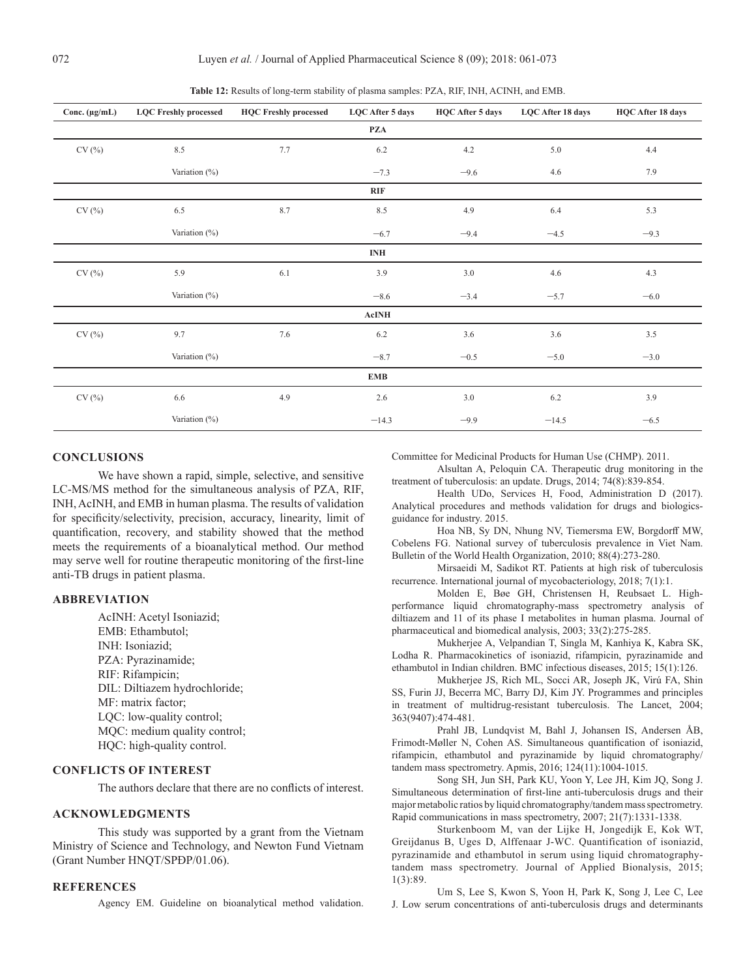| Conc. $(\mu g/mL)$          | <b>LQC Freshly processed</b> | <b>HQC Freshly processed</b> | LQC After 5 days | HQC After 5 days | LQC After 18 days | <b>HQC</b> After 18 days |
|-----------------------------|------------------------------|------------------------------|------------------|------------------|-------------------|--------------------------|
|                             |                              |                              | PZA              |                  |                   |                          |
| $\text{CV}\left(\% \right)$ | $8.5\,$                      | 7.7                          | $6.2\,$          | 4.2              | 5.0               | 4.4                      |
|                             | Variation (%)                |                              | $-7.3$           | $-9.6$           | 4.6               | 7.9                      |
|                             |                              |                              | RIF              |                  |                   |                          |
| CV(%)                       | 6.5                          | 8.7                          | 8.5              | 4.9              | 6.4               | 5.3                      |
|                             | Variation (%)                |                              | $-6.7$           | $-9.4$           | $-4.5$            | $-9.3$                   |
|                             |                              |                              | <b>INH</b>       |                  |                   |                          |
| CV(%)                       | 5.9                          | 6.1                          | 3.9              | 3.0              | 4.6               | 4.3                      |
|                             | Variation (%)                |                              | $-8.6$           | $-3.4$           | $-5.7$            | $-6.0$                   |
|                             |                              |                              | AcINH            |                  |                   |                          |
| CV(%)                       | 9.7                          | 7.6                          | 6.2              | 3.6              | 3.6               | 3.5                      |
|                             | Variation (%)                |                              | $-8.7$           | $-0.5$           | $-5.0$            | $-3.0$                   |
|                             |                              |                              | <b>EMB</b>       |                  |                   |                          |
| CV(%)                       | 6.6                          | 4.9                          | 2.6              | 3.0              | 6.2               | 3.9                      |
|                             | Variation (%)                |                              | $-14.3$          | $-9.9$           | $-14.5$           | $-6.5$                   |

**Table 12:** Results of long-term stability of plasma samples: PZA, RIF, INH, ACINH, and EMB.

# **CONCLUSIONS**

We have shown a rapid, simple, selective, and sensitive LC-MS/MS method for the simultaneous analysis of PZA, RIF, INH, AcINH, and EMB in human plasma. The results of validation for specificity/selectivity, precision, accuracy, linearity, limit of quantification, recovery, and stability showed that the method meets the requirements of a bioanalytical method. Our method may serve well for routine therapeutic monitoring of the first-line anti-TB drugs in patient plasma.

#### **ABBREVIATION**

AcINH: Acetyl Isoniazid; EMB: Ethambutol; INH: Isoniazid; PZA: Pyrazinamide; RIF: Rifampicin; DIL: Diltiazem hydrochloride; MF: matrix factor; LQC: low-quality control; MQC: medium quality control; HQC: high-quality control.

# **CONFLICTS OF INTEREST**

The authors declare that there are no conflicts of interest.

# **ACKNOWLEDGMENTS**

This study was supported by a grant from the Vietnam Ministry of Science and Technology, and Newton Fund Vietnam (Grant Number HNQT/SPĐP/01.06).

# **REFERENCES**

<span id="page-11-6"></span>Agency EM. Guideline on bioanalytical method validation.

Committee for Medicinal Products for Human Use (CHMP). 2011.

<span id="page-11-2"></span>Alsultan A, Peloquin CA. Therapeutic drug monitoring in the treatment of tuberculosis: an update. Drugs, 2014; 74(8):839-854.

Health UDo, Services H, Food, Administration D (2017). Analytical procedures and methods validation for drugs and biologicsguidance for industry. 2015.

<span id="page-11-0"></span>Hoa NB, Sy DN, Nhung NV, Tiemersma EW, Borgdorff MW, Cobelens FG. National survey of tuberculosis prevalence in Viet Nam. Bulletin of the World Health Organization, 2010; 88(4):273-280.

<span id="page-11-1"></span>Mirsaeidi M, Sadikot RT. Patients at high risk of tuberculosis recurrence. International journal of mycobacteriology, 2018; 7(1):1.

Molden E, Bøe GH, Christensen H, Reubsaet L. Highperformance liquid chromatography-mass spectrometry analysis of diltiazem and 11 of its phase I metabolites in human plasma. Journal of pharmaceutical and biomedical analysis, 2003; 33(2):275-285.

<span id="page-11-3"></span>Mukherjee A, Velpandian T, Singla M, Kanhiya K, Kabra SK, Lodha R. Pharmacokinetics of isoniazid, rifampicin, pyrazinamide and ethambutol in Indian children. BMC infectious diseases, 2015; 15(1):126.

Mukherjee JS, Rich ML, Socci AR, Joseph JK, Virú FA, Shin SS, Furin JJ, Becerra MC, Barry DJ, Kim JY. Programmes and principles in treatment of multidrug-resistant tuberculosis. The Lancet, 2004; 363(9407):474-481.

Prahl JB, Lundqvist M, Bahl J, Johansen IS, Andersen ÅB, Frimodt-Møller N, Cohen AS. Simultaneous quantification of isoniazid, rifampicin, ethambutol and pyrazinamide by liquid chromatography/ tandem mass spectrometry. Apmis, 2016; 124(11):1004-1015.

<span id="page-11-4"></span>Song SH, Jun SH, Park KU, Yoon Y, Lee JH, Kim JQ, Song J. Simultaneous determination of first-line anti-tuberculosis drugs and their major metabolic ratios by liquid chromatography/tandem mass spectrometry. Rapid communications in mass spectrometry, 2007; 21(7):1331-1338.

<span id="page-11-7"></span>Sturkenboom M, van der Lijke H, Jongedijk E, Kok WT, Greijdanus B, Uges D, Alffenaar J-WC. Quantification of isoniazid, pyrazinamide and ethambutol in serum using liquid chromatographytandem mass spectrometry. Journal of Applied Bionalysis, 2015; 1(3):89.

<span id="page-11-5"></span>Um S, Lee S, Kwon S, Yoon H, Park K, Song J, Lee C, Lee J. Low serum concentrations of anti-tuberculosis drugs and determinants